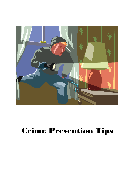

# Crime Prevention Tips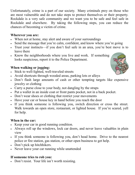Unfortunately, crime is a part of our society. Many criminals prey on those who are most vulnerable and do not take steps to protect themselves or their property. Rockdale is a very safe community and we want you to be safe and feel safe in Rockdale and elsewhere. By taking the following steps, you can reduce the chances of becoming a victim of crime.

## **Wherever you are:**

- When not at home, stay alert and aware of your surroundings
- Send the message that you're calm, confident, and know where you're going
- Trust your instincts—if you don't feel safe in an area, you're best move is to leave there
- Know the neighborhoods where you live and work. If something looks suspicious, report it to the Police Department.

# **When walking or jogging:**

- Stick to well-lighted, well-traveled streets
- Avoid shortcuts through wooded areas, parking lots or alleys
- Don't flash large amounts of cash or other tempting targets like expensive jewelry or clothing
- Carry a purse close to your body, not dangling by the straps
- Put a wallet in an inside coat or front pants pocket, not in a back pocket.
- Don't wear shoes or clothing that restrict your movements
- Have your car or house key in hand before you reach the door
- If you think someone is following you, switch direction or cross the street. Walk towards an open store, restaurant, or lighted house. If you're scared, yell for help.

## **When in the car:**

- Keep your car in good running condition.
- Always roll up the windows, lock car doors, and never leave valuables in plain view
- If you think someone is following you, don't head home. Drive to the nearest police or fire station, gas station, or other open business to get help.
- Don't pick up hitchhikers.
- Never leave your car running while unattended

## **If someone tries to rob you:**

• Don't resist. Your life isn't worth resisting.

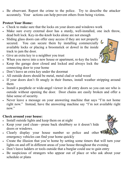• Be observant. Report the crime to the police. Try to describe the attacker accurately. Your actions can help prevent others from being victims.

#### **Protect Your Home:**

- Check to make sure that the locks on your doors and windows work
- Make sure every external door has a sturdy, well-installed, one inch throw, dead bolt lock. Key-in-the-knob locks alone are not enough
- Sliding glass doors can offer easy access if they are not properly secured. You can secure them by installing commercially available locks or placing a broomstick or dowel in the inside track to jam the door.
- Give an extra key to a neighbor you trust
- When you move into a new house or apartment, re-key the locks
- Keep the garage door closed and locked and always lock the connecting door to your home
- Don't leave an extra key under the doormat
- All outside doors should be metal, metal clad or solid wood
- If your doors don't fit snugly in their frames, install weather stripping around them
- Install a peephole or wide-angel viewer in all entry doors so you can see who is outside without opening the door. Door chains are easily broken and offer a false sense of security.
- Never leave a message on your answering machine that says "I'm not home right now." Instead, have the answering machine say "I'm not available right now."

## **Check around your house:**

- Install outside lights and keep them on at night
- Keep your yard clean—prune back shrubbery so it doesn't hide doors or windows.
- Clearly display your house number so police and other emergency vehicles can find your home quickly
- Create the illusion that you're home by setting some timers that will turn your lights on and off in different areas of your house throughout the evening
- Don't leave ladders or tools outside that a burglar could use to gain entry
- Be suspicious of strangers who appear out of place or who ask about your schedule or plans